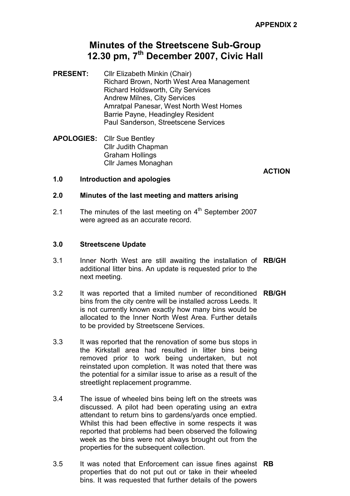# Minutes of the Streetscene Sub-Group 12.30 pm, 7<sup>th</sup> December 2007, Civic Hall

- PRESENT: Cllr Elizabeth Minkin (Chair) Richard Brown, North West Area Management Richard Holdsworth, City Services Andrew Milnes, City Services Amratpal Panesar, West North West Homes Barrie Payne, Headingley Resident Paul Sanderson, Streetscene Services
- APOLOGIES: Cllr Sue Bentley Cllr Judith Chapman Graham Hollings Cllr James Monaghan

**ACTION** 

# 1.0 Introduction and apologies

## 2.0 Minutes of the last meeting and matters arising

2.1 The minutes of the last meeting on  $4<sup>th</sup>$  September 2007 were agreed as an accurate record.

## 3.0 Streetscene Update

- 3.1 Inner North West are still awaiting the installation of RB/GH additional litter bins. An update is requested prior to the next meeting.
- 3.2 It was reported that a limited number of reconditioned RB/GH bins from the city centre will be installed across Leeds. It is not currently known exactly how many bins would be allocated to the Inner North West Area. Further details to be provided by Streetscene Services.
- 3.3 It was reported that the renovation of some bus stops in the Kirkstall area had resulted in litter bins being removed prior to work being undertaken, but not reinstated upon completion. It was noted that there was the potential for a similar issue to arise as a result of the streetlight replacement programme.
- 3.4 The issue of wheeled bins being left on the streets was discussed. A pilot had been operating using an extra attendant to return bins to gardens/yards once emptied. Whilst this had been effective in some respects it was reported that problems had been observed the following week as the bins were not always brought out from the properties for the subsequent collection.
- 3.5 It was noted that Enforcement can issue fines against RB properties that do not put out or take in their wheeled bins. It was requested that further details of the powers